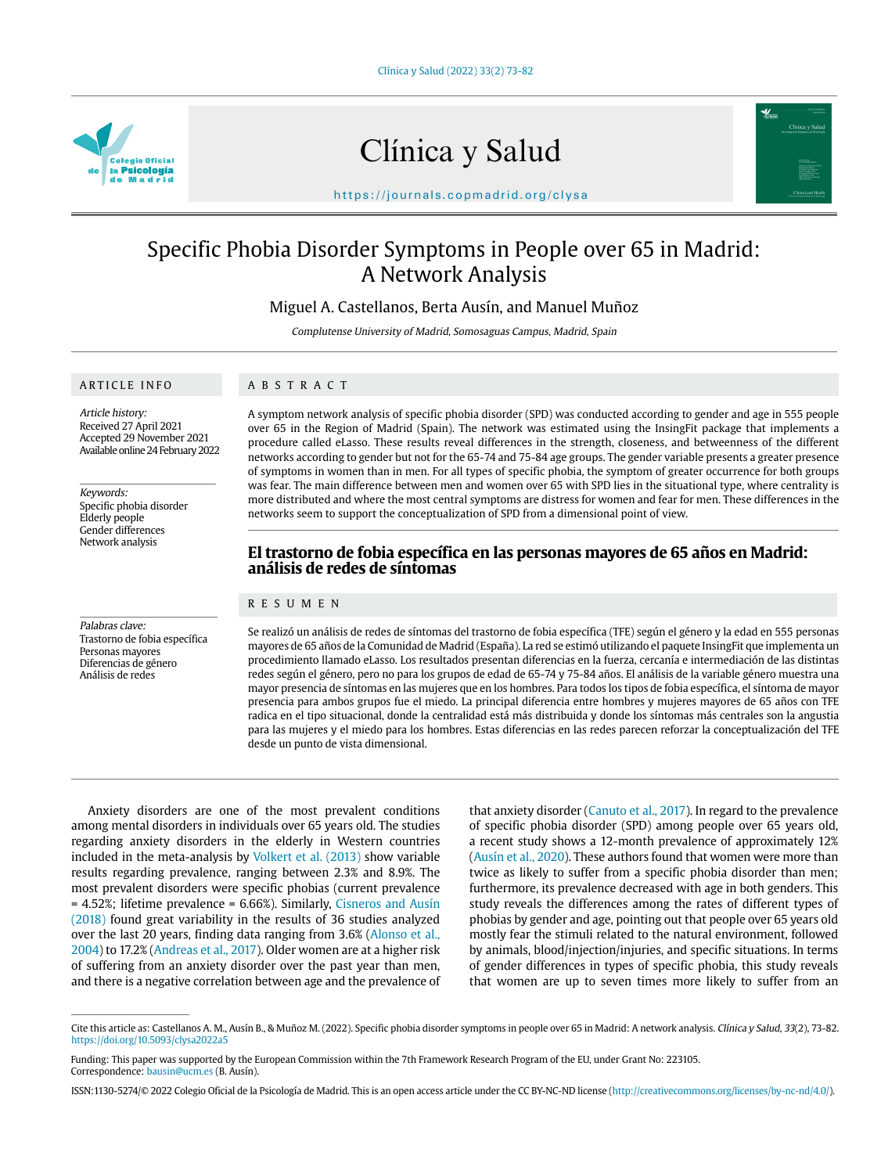

# Clínica y Salud



https://journals.copmadrid.org/clysa

# Specific Phobia Disorder Symptoms in People over 65 in Madrid: A Network Analysis

Miguel A. Castellanos, Berta Ausín, and Manuel Muñoz

Complutense University of Madrid, Somosaguas Campus, Madrid, Spain

# ARTICLE INFO

# ABSTRACT

Article history: Received 27 April 2021 Accepted 29 November 2021 Available online 24 February 2022

Keywords: Specific phobia disorder Elderly people Gender differences Network analysis

Palabras clave: Trastorno de fobia específica Personas mayores Diferencias de género Análisis de redes

A symptom network analysis of specific phobia disorder (SPD) was conducted according to gender and age in 555 people over 65 in the Region of Madrid (Spain). The network was estimated using the InsingFit package that implements a procedure called eLasso. These results reveal differences in the strength, closeness, and betweenness of the different networks according to gender but not for the 65-74 and 75-84 age groups. The gender variable presents a greater presence of symptoms in women than in men. For all types of specific phobia, the symptom of greater occurrence for both groups was fear. The main difference between men and women over 65 with SPD lies in the situational type, where centrality is more distributed and where the most central symptoms are distress for women and fear for men. These differences in the networks seem to support the conceptualization of SPD from a dimensional point of view.

# **El trastorno de fobia específica en las personas mayores de 65 años en Madrid: análisis de redes de síntomas**

# RESUMEN

Se realizó un análisis de redes de síntomas del trastorno de fobia específica (TFE) según el género y la edad en 555 personas mayores de 65 años de la Comunidad de Madrid (España). La red se estimó utilizando el paquete InsingFit que implementa un procedimiento llamado eLasso. Los resultados presentan diferencias en la fuerza, cercanía e intermediación de las distintas redes según el género, pero no para los grupos de edad de 65-74 y 75-84 años. El análisis de la variable género muestra una mayor presencia de síntomas en las mujeres que en los hombres. Para todos los tipos de fobia específica, el síntoma de mayor presencia para ambos grupos fue el miedo. La principal diferencia entre hombres y mujeres mayores de 65 años con TFE radica en el tipo situacional, donde la centralidad está más distribuida y donde los síntomas más centrales son la angustia para las mujeres y el miedo para los hombres. Estas diferencias en las redes parecen reforzar la conceptualización del TFE desde un punto de vista dimensional.

Anxiety disorders are one of the most prevalent conditions among mental disorders in individuals over 65 years old. The studies regarding anxiety disorders in the elderly in Western countries included in the meta-analysis by Volkert et al. (2013) show variable results regarding prevalence, ranging between 2.3% and 8.9%. The most prevalent disorders were specific phobias (current prevalence = 4.52%; lifetime prevalence = 6.66%). Similarly, Cisneros and Ausín (2018) found great variability in the results of 36 studies analyzed over the last 20 years, finding data ranging from 3.6% (Alonso et al., 2004) to 17.2% (Andreas et al., 2017). Older women are at a higher risk of suffering from an anxiety disorder over the past year than men, and there is a negative correlation between age and the prevalence of

that anxiety disorder (Canuto et al., 2017). In regard to the prevalence of specific phobia disorder (SPD) among people over 65 years old, a recent study shows a 12-month prevalence of approximately 12% (Ausín et al., 2020). These authors found that women were more than twice as likely to suffer from a specific phobia disorder than men; furthermore, its prevalence decreased with age in both genders. This study reveals the differences among the rates of different types of phobias by gender and age, pointing out that people over 65 years old mostly fear the stimuli related to the natural environment, followed by animals, blood/injection/injuries, and specific situations. In terms of gender differences in types of specific phobia, this study reveals that women are up to seven times more likely to suffer from an

Cite this article as: Castellanos A. M., Ausín B., & Muñoz M. (2022). Specific phobia disorder symptoms in people over 65 in Madrid: A network analysis. Clínica y Salud, 33(2), 73-82. https://doi.org/10.5093/clysa2022a5

Funding: This paper was supported by the European Commission within the 7th Framework Research Program of the EU, under Grant No: 223105. Correspondence: bausin@ucm.es (B. Ausín).

ISSN:1130-5274/© 2022 Colegio Oficial de la Psicología de Madrid. This is an open access article under the CC BY-NC-ND license (http://creativecommons.org/licenses/by-nc-nd/4.0/).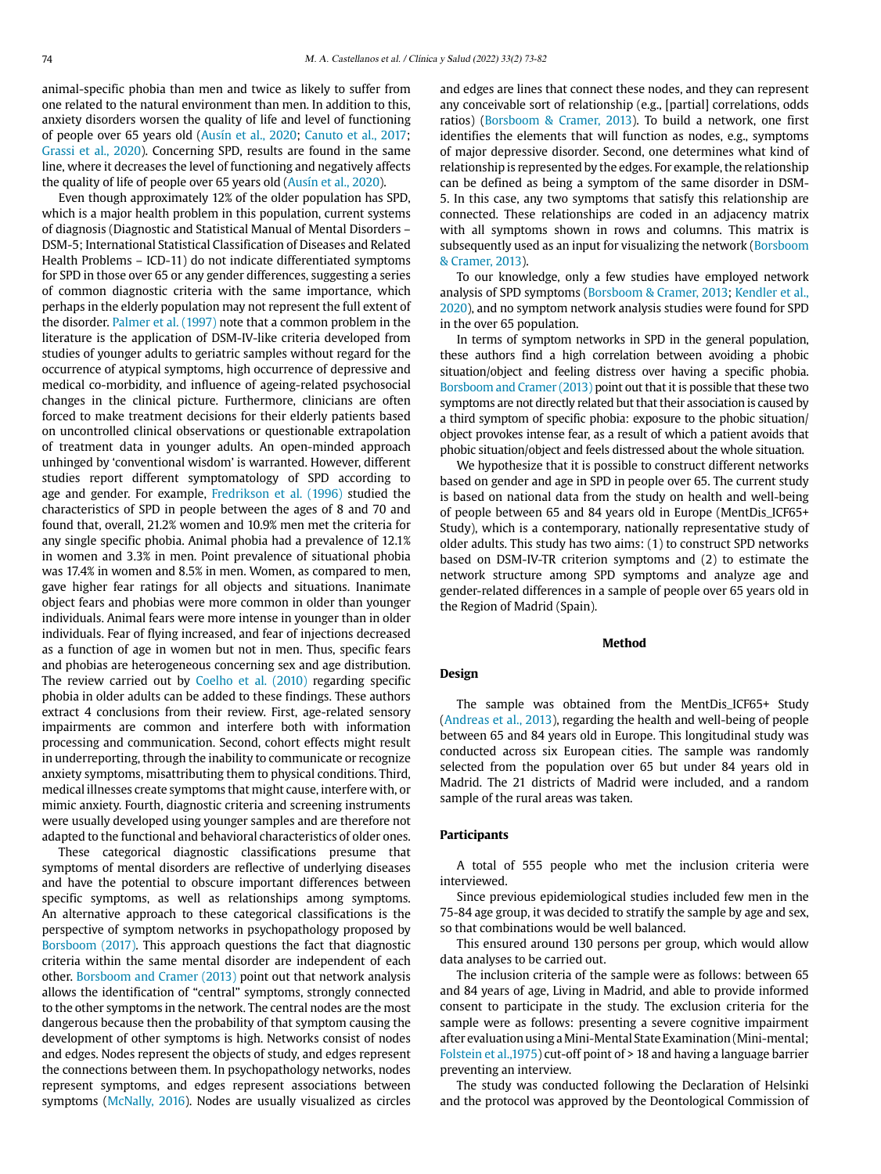animal-specific phobia than men and twice as likely to suffer from one related to the natural environment than men. In addition to this, anxiety disorders worsen the quality of life and level of functioning of people over 65 years old (Ausín et al., 2020; Canuto et al., 2017; Grassi et al., 2020). Concerning SPD, results are found in the same line, where it decreases the level of functioning and negatively affects the quality of life of people over 65 years old (Ausín et al., 2020).

Even though approximately 12% of the older population has SPD, which is a major health problem in this population, current systems of diagnosis (Diagnostic and Statistical Manual of Mental Disorders – DSM-5; International Statistical Classification of Diseases and Related Health Problems – ICD-11) do not indicate differentiated symptoms for SPD in those over 65 or any gender differences, suggesting a series of common diagnostic criteria with the same importance, which perhaps in the elderly population may not represent the full extent of the disorder. Palmer et al. (1997) note that a common problem in the literature is the application of DSM-IV-like criteria developed from studies of younger adults to geriatric samples without regard for the occurrence of atypical symptoms, high occurrence of depressive and medical co-morbidity, and influence of ageing-related psychosocial changes in the clinical picture. Furthermore, clinicians are often forced to make treatment decisions for their elderly patients based on uncontrolled clinical observations or questionable extrapolation of treatment data in younger adults. An open-minded approach unhinged by 'conventional wisdom' is warranted. However, different studies report different symptomatology of SPD according to age and gender. For example, Fredrikson et al. (1996) studied the characteristics of SPD in people between the ages of 8 and 70 and found that, overall, 21.2% women and 10.9% men met the criteria for any single specific phobia. Animal phobia had a prevalence of 12.1% in women and 3.3% in men. Point prevalence of situational phobia was 17.4% in women and 8.5% in men. Women, as compared to men, gave higher fear ratings for all objects and situations. Inanimate object fears and phobias were more common in older than younger individuals. Animal fears were more intense in younger than in older individuals. Fear of flying increased, and fear of injections decreased as a function of age in women but not in men. Thus, specific fears and phobias are heterogeneous concerning sex and age distribution. The review carried out by Coelho et al. (2010) regarding specific phobia in older adults can be added to these findings. These authors extract 4 conclusions from their review. First, age-related sensory impairments are common and interfere both with information processing and communication. Second, cohort effects might result in underreporting, through the inability to communicate or recognize anxiety symptoms, misattributing them to physical conditions. Third, medical illnesses create symptoms that might cause, interfere with, or mimic anxiety. Fourth, diagnostic criteria and screening instruments were usually developed using younger samples and are therefore not adapted to the functional and behavioral characteristics of older ones.

These categorical diagnostic classifications presume that symptoms of mental disorders are reflective of underlying diseases and have the potential to obscure important differences between specific symptoms, as well as relationships among symptoms. An alternative approach to these categorical classifications is the perspective of symptom networks in psychopathology proposed by Borsboom (2017). This approach questions the fact that diagnostic criteria within the same mental disorder are independent of each other. Borsboom and Cramer (2013) point out that network analysis allows the identification of "central" symptoms, strongly connected to the other symptoms in the network. The central nodes are the most dangerous because then the probability of that symptom causing the development of other symptoms is high. Networks consist of nodes and edges. Nodes represent the objects of study, and edges represent the connections between them. In psychopathology networks, nodes represent symptoms, and edges represent associations between symptoms (McNally, 2016). Nodes are usually visualized as circles

and edges are lines that connect these nodes, and they can represent any conceivable sort of relationship (e.g., [partial] correlations, odds ratios) (Borsboom & Cramer, 2013). To build a network, one first identifies the elements that will function as nodes, e.g., symptoms of major depressive disorder. Second, one determines what kind of relationship is represented by the edges. For example, the relationship can be defined as being a symptom of the same disorder in DSM-5. In this case, any two symptoms that satisfy this relationship are connected. These relationships are coded in an adjacency matrix with all symptoms shown in rows and columns. This matrix is subsequently used as an input for visualizing the network (Borsboom & Cramer, 2013).

To our knowledge, only a few studies have employed network analysis of SPD symptoms (Borsboom & Cramer, 2013; Kendler et al., 2020), and no symptom network analysis studies were found for SPD in the over 65 population.

In terms of symptom networks in SPD in the general population, these authors find a high correlation between avoiding a phobic situation/object and feeling distress over having a specific phobia. Borsboom and Cramer (2013) point out that it is possible that these two symptoms are not directly related but that their association is caused by a third symptom of specific phobia: exposure to the phobic situation/ object provokes intense fear, as a result of which a patient avoids that phobic situation/object and feels distressed about the whole situation.

We hypothesize that it is possible to construct different networks based on gender and age in SPD in people over 65. The current study is based on national data from the study on health and well-being of people between 65 and 84 years old in Europe (MentDis\_ICF65+ Study), which is a contemporary, nationally representative study of older adults. This study has two aims: (1) to construct SPD networks based on DSM-IV-TR criterion symptoms and (2) to estimate the network structure among SPD symptoms and analyze age and gender-related differences in a sample of people over 65 years old in the Region of Madrid (Spain).

#### **Method**

# **Design**

The sample was obtained from the MentDis\_ICF65+ Study (Andreas et al., 2013), regarding the health and well-being of people between 65 and 84 years old in Europe. This longitudinal study was conducted across six European cities. The sample was randomly selected from the population over 65 but under 84 years old in Madrid. The 21 districts of Madrid were included, and a random sample of the rural areas was taken.

#### **Participants**

A total of 555 people who met the inclusion criteria were interviewed.

Since previous epidemiological studies included few men in the 75-84 age group, it was decided to stratify the sample by age and sex, so that combinations would be well balanced.

This ensured around 130 persons per group, which would allow data analyses to be carried out.

The inclusion criteria of the sample were as follows: between 65 and 84 years of age, Living in Madrid, and able to provide informed consent to participate in the study. The exclusion criteria for the sample were as follows: presenting a severe cognitive impairment after evaluation using a Mini-Mental State Examination (Mini-mental; Folstein et al.,1975) cut-off point of > 18 and having a language barrier preventing an interview.

The study was conducted following the Declaration of Helsinki and the protocol was approved by the Deontological Commission of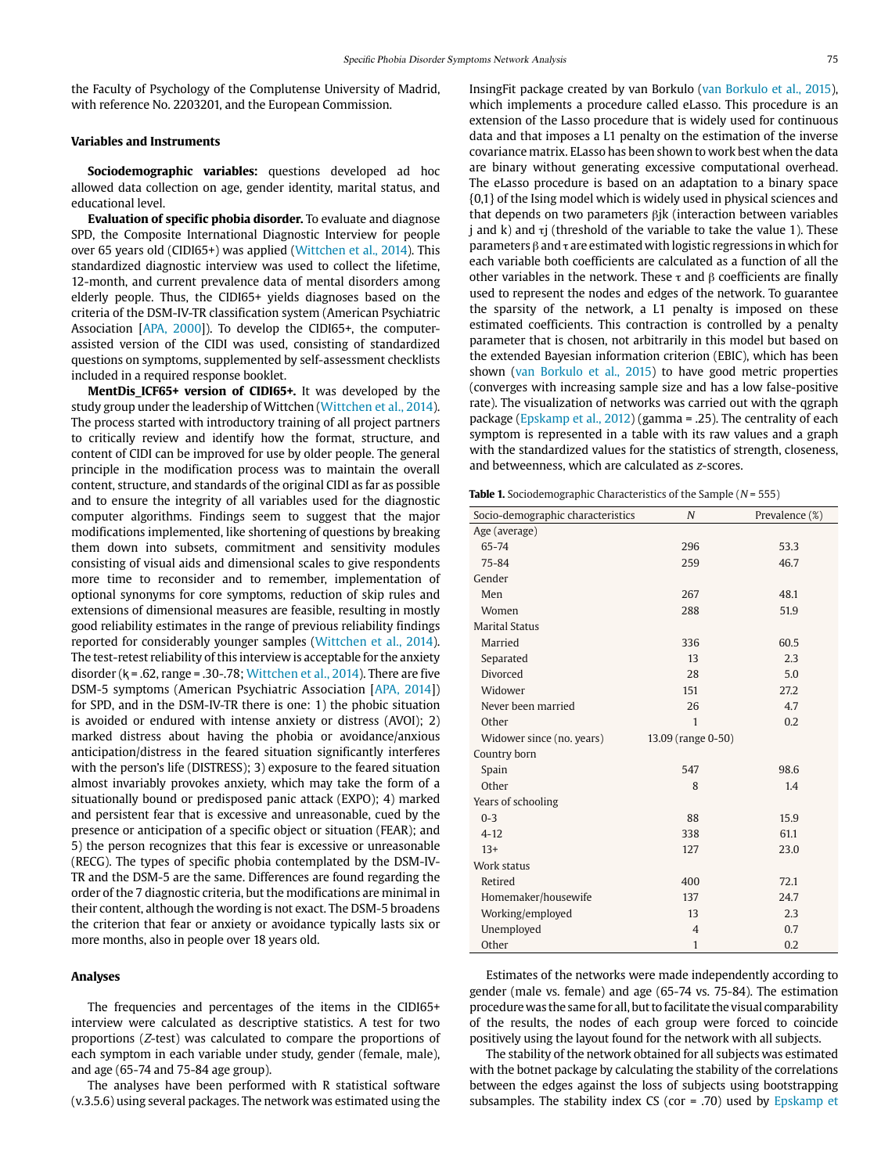the Faculty of Psychology of the Complutense University of Madrid, with reference No. 2203201, and the European Commission.

#### **Variables and Instruments**

**Sociodemographic variables:** questions developed ad hoc allowed data collection on age, gender identity, marital status, and educational level.

**Evaluation of specific phobia disorder.** To evaluate and diagnose SPD, the Composite International Diagnostic Interview for people over 65 years old (CIDI65+) was applied (Wittchen et al., 2014). This standardized diagnostic interview was used to collect the lifetime, 12-month, and current prevalence data of mental disorders among elderly people. Thus, the CIDI65+ yields diagnoses based on the criteria of the DSM-IV-TR classification system (American Psychiatric Association [APA, 2000]). To develop the CIDI65+, the computerassisted version of the CIDI was used, consisting of standardized questions on symptoms, supplemented by self-assessment checklists included in a required response booklet.

**MentDis\_ICF65+ version of CIDI65+.** It was developed by the study group under the leadership of Wittchen (Wittchen et al., 2014). The process started with introductory training of all project partners to critically review and identify how the format, structure, and content of CIDI can be improved for use by older people. The general principle in the modification process was to maintain the overall content, structure, and standards of the original CIDI as far as possible and to ensure the integrity of all variables used for the diagnostic computer algorithms. Findings seem to suggest that the major modifications implemented, like shortening of questions by breaking them down into subsets, commitment and sensitivity modules consisting of visual aids and dimensional scales to give respondents more time to reconsider and to remember, implementation of optional synonyms for core symptoms, reduction of skip rules and extensions of dimensional measures are feasible, resulting in mostly good reliability estimates in the range of previous reliability findings reported for considerably younger samples (Wittchen et al., 2014). The test-retest reliability of this interview is acceptable for the anxiety disorder ( $k = .62$ , range = .30-.78; Wittchen et al., 2014). There are five DSM-5 symptoms (American Psychiatric Association [APA, 2014]) for SPD, and in the DSM-IV-TR there is one: 1) the phobic situation is avoided or endured with intense anxiety or distress (AVOI); 2) marked distress about having the phobia or avoidance/anxious anticipation/distress in the feared situation significantly interferes with the person's life (DISTRESS); 3) exposure to the feared situation almost invariably provokes anxiety, which may take the form of a situationally bound or predisposed panic attack (EXPO); 4) marked and persistent fear that is excessive and unreasonable, cued by the presence or anticipation of a specific object or situation (FEAR); and 5) the person recognizes that this fear is excessive or unreasonable (RECG). The types of specific phobia contemplated by the DSM-IV-TR and the DSM-5 are the same. Differences are found regarding the order of the 7 diagnostic criteria, but the modifications are minimal in their content, although the wording is not exact. The DSM-5 broadens the criterion that fear or anxiety or avoidance typically lasts six or more months, also in people over 18 years old.

#### **Analyses**

The frequencies and percentages of the items in the CIDI65+ interview were calculated as descriptive statistics. A test for two proportions (Z-test) was calculated to compare the proportions of each symptom in each variable under study, gender (female, male), and age (65-74 and 75-84 age group).

The analyses have been performed with R statistical software (v.3.5.6) using several packages. The network was estimated using the

InsingFit package created by van Borkulo (van Borkulo et al., 2015), which implements a procedure called eLasso. This procedure is an extension of the Lasso procedure that is widely used for continuous data and that imposes a L1 penalty on the estimation of the inverse covariance matrix. ELasso has been shown to work best when the data are binary without generating excessive computational overhead. The eLasso procedure is based on an adaptation to a binary space {0,1} of the Ising model which is widely used in physical sciences and that depends on two parameters βjk (interaction between variables j and k) and  $\tau$ j (threshold of the variable to take the value 1). These parameters  $\beta$  and  $\tau$  are estimated with logistic regressions in which for each variable both coefficients are calculated as a function of all the other variables in the network. These  $\tau$  and  $\beta$  coefficients are finally used to represent the nodes and edges of the network. To guarantee the sparsity of the network, a L1 penalty is imposed on these estimated coefficients. This contraction is controlled by a penalty parameter that is chosen, not arbitrarily in this model but based on the extended Bayesian information criterion (EBIC), which has been shown (van Borkulo et al., 2015) to have good metric properties (converges with increasing sample size and has a low false-positive rate). The visualization of networks was carried out with the qgraph package (Epskamp et al., 2012) (gamma = .25). The centrality of each symptom is represented in a table with its raw values and a graph with the standardized values for the statistics of strength, closeness, and betweenness, which are calculated as z-scores.

|  | <b>Table 1.</b> Sociodemographic Characteristics of the Sample ( $N = 555$ ) |  |  |  |  |  |  |  |
|--|------------------------------------------------------------------------------|--|--|--|--|--|--|--|
|--|------------------------------------------------------------------------------|--|--|--|--|--|--|--|

| Socio-demographic characteristics | N                  | Prevalence (%) |
|-----------------------------------|--------------------|----------------|
| Age (average)                     |                    |                |
| 65-74                             | 296                | 53.3           |
| 75-84                             | 259                | 46.7           |
| Gender                            |                    |                |
| Men                               | 267                | 48.1           |
| Women                             | 288                | 51.9           |
| <b>Marital Status</b>             |                    |                |
| Married                           | 336                | 60.5           |
| Separated                         | 13                 | 2.3            |
| <b>Divorced</b>                   | 28                 | 5.0            |
| Widower                           | 151                | 27.2           |
| Never been married                | 26                 | 4.7            |
| Other                             | $\mathbf{1}$       | 0.2            |
| Widower since (no. years)         | 13.09 (range 0-50) |                |
| Country born                      |                    |                |
| Spain                             | 547                | 98.6           |
| Other                             | 8                  | 1.4            |
| Years of schooling                |                    |                |
| $0 - 3$                           | 88                 | 15.9           |
| $4 - 12$                          | 338                | 61.1           |
| $13+$                             | 127                | 23.0           |
| Work status                       |                    |                |
| Retired                           | 400                | 72.1           |
| Homemaker/housewife               | 137                | 24.7           |
| Working/employed                  | 13                 | 2.3            |
| Unemployed                        | $\overline{4}$     | 0.7            |
| Other                             | $\mathbf{1}$       | 0.2            |

Estimates of the networks were made independently according to gender (male vs. female) and age (65-74 vs. 75-84). The estimation procedure was the same for all, but to facilitate the visual comparability of the results, the nodes of each group were forced to coincide positively using the layout found for the network with all subjects.

The stability of the network obtained for all subjects was estimated with the botnet package by calculating the stability of the correlations between the edges against the loss of subjects using bootstrapping subsamples. The stability index CS ( $cor = .70$ ) used by Epskamp et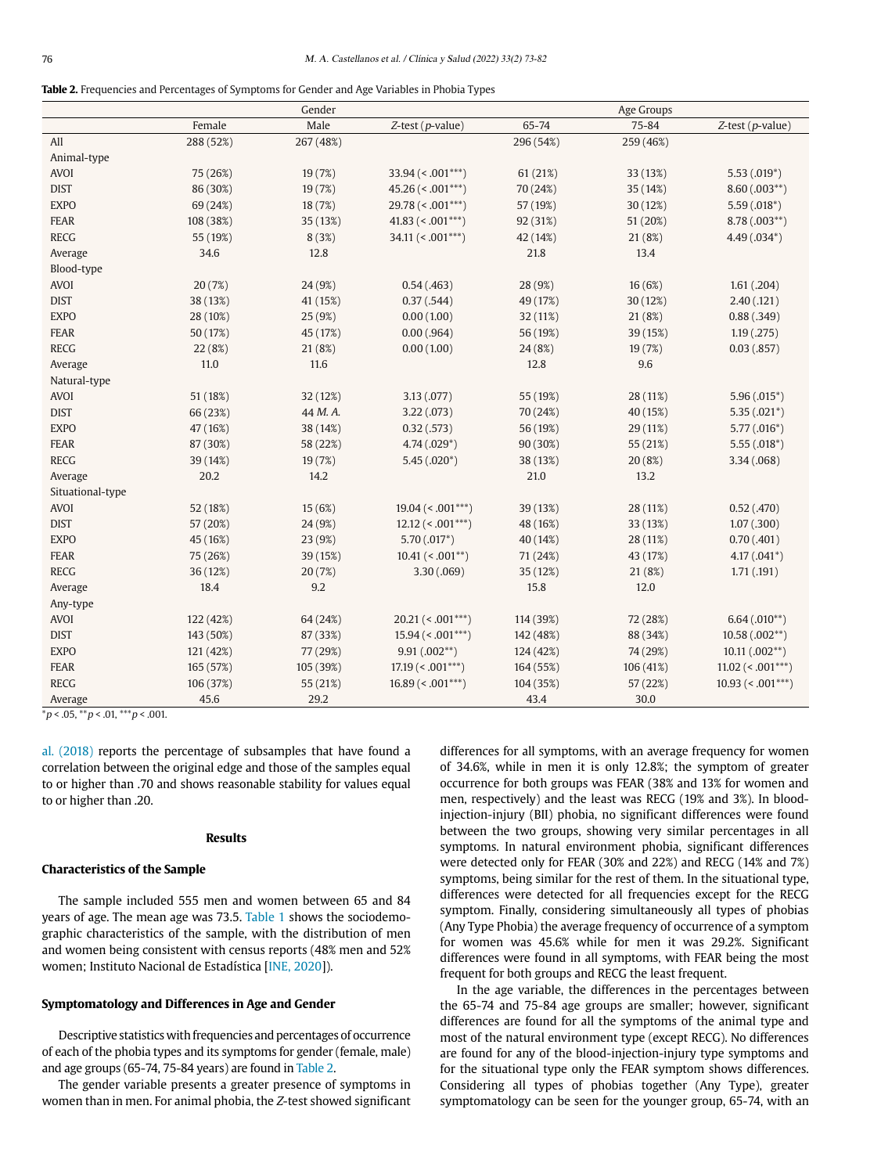#### **Table 2.** Frequencies and Percentages of Symptoms for Gender and Age Variables in Phobia Types

|                  |           | Gender    |                         |           | Age Groups |                         |
|------------------|-----------|-----------|-------------------------|-----------|------------|-------------------------|
|                  | Female    | Male      | $Z$ -test ( $p$ -value) | 65-74     | 75-84      | $Z$ -test ( $p$ -value) |
| All              | 288 (52%) | 267 (48%) |                         | 296 (54%) | 259 (46%)  |                         |
| Animal-type      |           |           |                         |           |            |                         |
| <b>AVOI</b>      | 75 (26%)  | 19 (7%)   | 33.94 ( $\leq$ .001***) | 61(21%)   | 33 (13%)   | $5.53(.019*)$           |
| <b>DIST</b>      | 86 (30%)  | 19 (7%)   | 45.26 ( $\leq$ .001***) | 70 (24%)  | 35 (14%)   | $8.60(.003**)$          |
| <b>EXPO</b>      | 69 (24%)  | 18 (7%)   | $29.78 \times 0.001***$ | 57 (19%)  | 30(12%)    | $5.59(.018*)$           |
| <b>FEAR</b>      | 108 (38%) | 35 (13%)  | 41.83 $(<.001***$       | 92 (31%)  | 51 (20%)   | $8.78(.003**)$          |
| <b>RECG</b>      | 55 (19%)  | 8(3%)     | $34.11 \times .001***$  | 42 (14%)  | 21 (8%)    | $4.49(.034*)$           |
| Average          | 34.6      | 12.8      |                         | 21.8      | 13.4       |                         |
| Blood-type       |           |           |                         |           |            |                         |
| <b>AVOI</b>      | 20(7%)    | 24 (9%)   | 0.54(0.463)             | 28 (9%)   | 16(6%)     | 1.61(.204)              |
| <b>DIST</b>      | 38 (13%)  | 41 (15%)  | 0.37(0.544)             | 49 (17%)  | 30 (12%)   | 2.40(0.121)             |
| <b>EXPO</b>      | 28 (10%)  | 25 (9%)   | 0.00(1.00)              | 32 (11%)  | 21 (8%)    | 0.88(.349)              |
| <b>FEAR</b>      | 50 (17%)  | 45 (17%)  | $0.00$ $(.964)$         | 56 (19%)  | 39 (15%)   | 1.19(.275)              |
| <b>RECG</b>      | 22(8%)    | 21 (8%)   | 0.00(1.00)              | 24 (8%)   | 19 (7%)    | 0.03(0.857)             |
| Average          | 11.0      | 11.6      |                         | 12.8      | 9.6        |                         |
| Natural-type     |           |           |                         |           |            |                         |
| <b>AVOI</b>      | 51 (18%)  | 32 (12%)  | 3.13(077)               | 55 (19%)  | 28 (11%)   | $5.96(.015*)$           |
| <b>DIST</b>      | 66 (23%)  | 44 M.A.   | 3.22(.073)              | 70 (24%)  | 40 (15%)   | $5.35(.021*)$           |
| <b>EXPO</b>      | 47 (16%)  | 38 (14%)  | 0.32(0.573)             | 56 (19%)  | 29 (11%)   | $5.77(.016*)$           |
| <b>FEAR</b>      | 87 (30%)  | 58 (22%)  | $4.74(.029*)$           | 90 (30%)  | 55 (21%)   | $5.55(.018*)$           |
| <b>RECG</b>      | 39 (14%)  | 19 (7%)   | $5.45(.020*)$           | 38 (13%)  | 20(8%)     | 3.34(.068)              |
| Average          | 20.2      | 14.2      |                         | 21.0      | 13.2       |                         |
| Situational-type |           |           |                         |           |            |                         |
| <b>AVOI</b>      | 52 (18%)  | 15(6%)    | $19.04 \,(<.001***)$    | 39 (13%)  | 28 (11%)   | 0.52(0.470)             |
| <b>DIST</b>      | 57 (20%)  | 24 (9%)   | $12.12 \div .001***$    | 48 (16%)  | 33 (13%)   | 1.07(.300)              |
| <b>EXPO</b>      | 45 (16%)  | 23(9%)    | $5.70(.017*)$           | 40 (14%)  | 28 (11%)   | 0.70(0.401)             |
| <b>FEAR</b>      | 75 (26%)  | 39 (15%)  | $10.41$ (< .001**)      | 71 (24%)  | 43 (17%)   | $4.17(.041*)$           |
| <b>RECG</b>      | 36 (12%)  | 20(7%)    | 3.30(.069)              | 35 (12%)  | 21 (8%)    | 1.71(0.191)             |
| Average          | 18.4      | 9.2       |                         | 15.8      | 12.0       |                         |
| Any-type         |           |           |                         |           |            |                         |
| <b>AVOI</b>      | 122 (42%) | 64 (24%)  | $20.21$ (< .001***)     | 114 (39%) | 72 (28%)   | $6.64(.010**)$          |
| <b>DIST</b>      | 143 (50%) | 87 (33%)  | $15.94 \,(<.001***)$    | 142 (48%) | 88 (34%)   | $10.58(.002**)$         |
| <b>EXPO</b>      | 121 (42%) | 77 (29%)  | $9.91(.002**)$          | 124 (42%) | 74 (29%)   | $10.11(.002**)$         |
| <b>FEAR</b>      | 165 (57%) | 105 (39%) | $17.19 \times 0.001***$ | 164 (55%) | 106 (41%)  | $11.02$ (< .001***)     |
| <b>RECG</b>      | 106 (37%) | 55 (21%)  | $16.89$ (< .001***)     | 104 (35%) | 57 (22%)   | $10.93$ (< .001***)     |
| Average          | 45.6      | 29.2      |                         | 43.4      | 30.0       |                         |

 $*_{p < .05, *_{p < .01, *_{p < .001.}}$ 

al. (2018) reports the percentage of subsamples that have found a correlation between the original edge and those of the samples equal to or higher than .70 and shows reasonable stability for values equal to or higher than .20.

#### **Results**

#### **Characteristics of the Sample**

The sample included 555 men and women between 65 and 84 years of age. The mean age was 73.5. Table 1 shows the sociodemographic characteristics of the sample, with the distribution of men and women being consistent with census reports (48% men and 52% women; Instituto Nacional de Estadística [INE, 2020]).

#### **Symptomatology and Differences in Age and Gender**

Descriptive statistics with frequencies and percentages of occurrence of each of the phobia types and its symptoms for gender (female, male) and age groups (65-74, 75-84 years) are found in Table 2.

The gender variable presents a greater presence of symptoms in women than in men. For animal phobia, the Z-test showed significant differences for all symptoms, with an average frequency for women of 34.6%, while in men it is only 12.8%; the symptom of greater occurrence for both groups was FEAR (38% and 13% for women and men, respectively) and the least was RECG (19% and 3%). In bloodinjection-injury (BII) phobia, no significant differences were found between the two groups, showing very similar percentages in all symptoms. In natural environment phobia, significant differences were detected only for FEAR (30% and 22%) and RECG (14% and 7%) symptoms, being similar for the rest of them. In the situational type, differences were detected for all frequencies except for the RECG symptom. Finally, considering simultaneously all types of phobias (Any Type Phobia) the average frequency of occurrence of a symptom for women was 45.6% while for men it was 29.2%. Significant differences were found in all symptoms, with FEAR being the most frequent for both groups and RECG the least frequent.

In the age variable, the differences in the percentages between the 65-74 and 75-84 age groups are smaller; however, significant differences are found for all the symptoms of the animal type and most of the natural environment type (except RECG). No differences are found for any of the blood-injection-injury type symptoms and for the situational type only the FEAR symptom shows differences. Considering all types of phobias together (Any Type), greater symptomatology can be seen for the younger group, 65-74, with an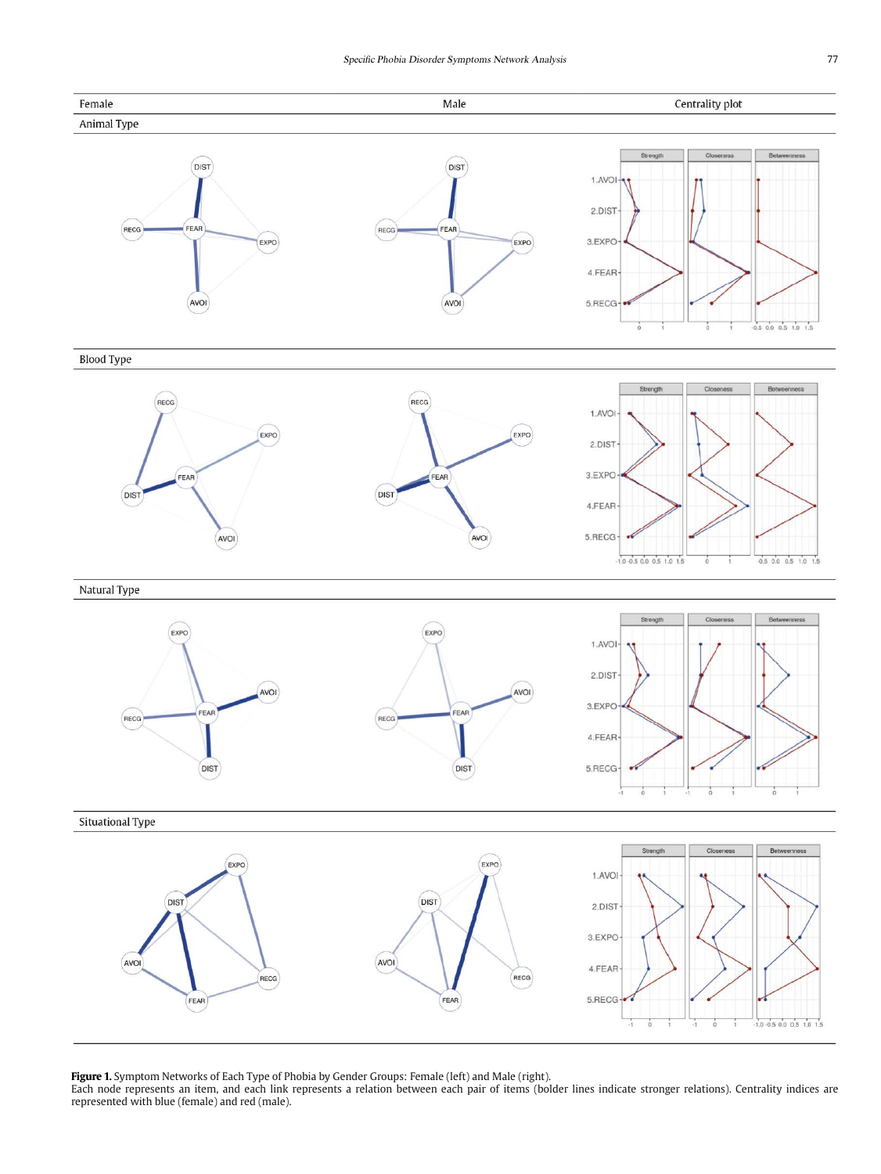

**Figure 1.** Symptom Networks of Each Type of Phobia by Gender Groups: Female (left) and Male (right).

Each node represents an item, and each link represents a relation between each pair of items (bolder lines indicate stronger relations). Centrality indices are represented with blue (female) and red (male).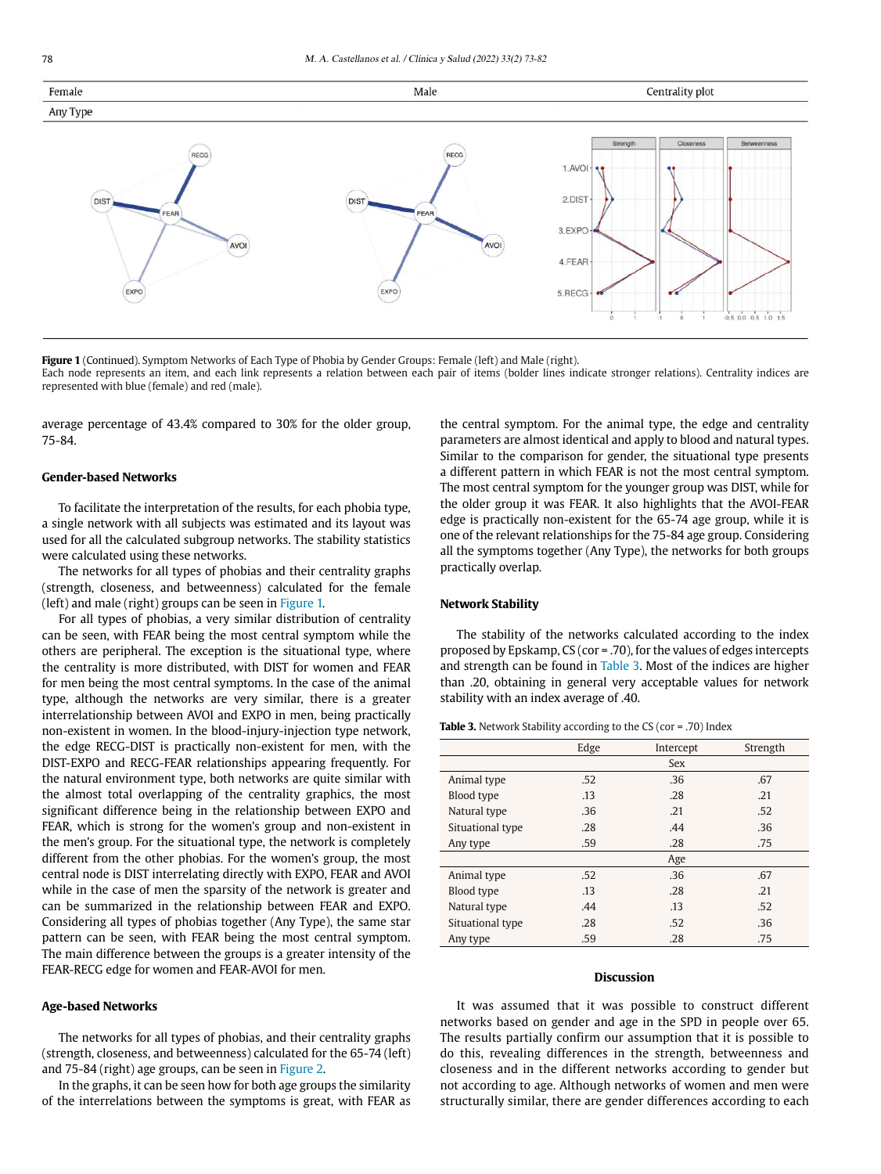

**Figure 1** (Continued). Symptom Networks of Each Type of Phobia by Gender Groups: Female (left) and Male (right).

Each node represents an item, and each link represents a relation between each pair of items (bolder lines indicate stronger relations). Centrality indices are represented with blue (female) and red (male).

average percentage of 43.4% compared to 30% for the older group, 75-84.

#### **Gender-based Networks**

To facilitate the interpretation of the results, for each phobia type, a single network with all subjects was estimated and its layout was used for all the calculated subgroup networks. The stability statistics were calculated using these networks.

The networks for all types of phobias and their centrality graphs (strength, closeness, and betweenness) calculated for the female (left) and male (right) groups can be seen in Figure 1.

For all types of phobias, a very similar distribution of centrality can be seen, with FEAR being the most central symptom while the others are peripheral. The exception is the situational type, where the centrality is more distributed, with DIST for women and FEAR for men being the most central symptoms. In the case of the animal type, although the networks are very similar, there is a greater interrelationship between AVOI and EXPO in men, being practically non-existent in women. In the blood-injury-injection type network, the edge RECG-DIST is practically non-existent for men, with the DIST-EXPO and RECG-FEAR relationships appearing frequently. For the natural environment type, both networks are quite similar with the almost total overlapping of the centrality graphics, the most significant difference being in the relationship between EXPO and FEAR, which is strong for the women's group and non-existent in the men's group. For the situational type, the network is completely different from the other phobias. For the women's group, the most central node is DIST interrelating directly with EXPO, FEAR and AVOI while in the case of men the sparsity of the network is greater and can be summarized in the relationship between FEAR and EXPO. Considering all types of phobias together (Any Type), the same star pattern can be seen, with FEAR being the most central symptom. The main difference between the groups is a greater intensity of the FEAR-RECG edge for women and FEAR-AVOI for men.

#### **Age-based Networks**

The networks for all types of phobias, and their centrality graphs (strength, closeness, and betweenness) calculated for the 65-74 (left) and 75-84 (right) age groups, can be seen in Figure 2.

In the graphs, it can be seen how for both age groups the similarity of the interrelations between the symptoms is great, with FEAR as the central symptom. For the animal type, the edge and centrality parameters are almost identical and apply to blood and natural types. Similar to the comparison for gender, the situational type presents a different pattern in which FEAR is not the most central symptom. The most central symptom for the younger group was DIST, while for the older group it was FEAR. It also highlights that the AVOI-FEAR edge is practically non-existent for the 65-74 age group, while it is one of the relevant relationships for the 75-84 age group. Considering all the symptoms together (Any Type), the networks for both groups practically overlap.

#### **Network Stability**

The stability of the networks calculated according to the index proposed by Epskamp, CS (cor = .70), for the values of edges intercepts and strength can be found in Table 3. Most of the indices are higher than .20, obtaining in general very acceptable values for network stability with an index average of .40.

**Table 3.** Network Stability according to the CS (cor = .70) Index

|                   | Edge | Intercept  | Strength |
|-------------------|------|------------|----------|
|                   |      | <b>Sex</b> |          |
| Animal type       | .52  | .36        | .67      |
| Blood type        | .13  | .28        | .21      |
| Natural type      | .36  | .21        | .52      |
| Situational type  | .28  | .44        | .36      |
| Any type          | .59  | .28        | .75      |
|                   |      | Age        |          |
| Animal type       | .52  | .36        | .67      |
| <b>Blood type</b> | .13  | .28        | .21      |
| Natural type      | .44  | .13        | .52      |
| Situational type  | .28  | .52        | .36      |
| Any type          | .59  | .28        | .75      |

#### **Discussion**

It was assumed that it was possible to construct different networks based on gender and age in the SPD in people over 65. The results partially confirm our assumption that it is possible to do this, revealing differences in the strength, betweenness and closeness and in the different networks according to gender but not according to age. Although networks of women and men were structurally similar, there are gender differences according to each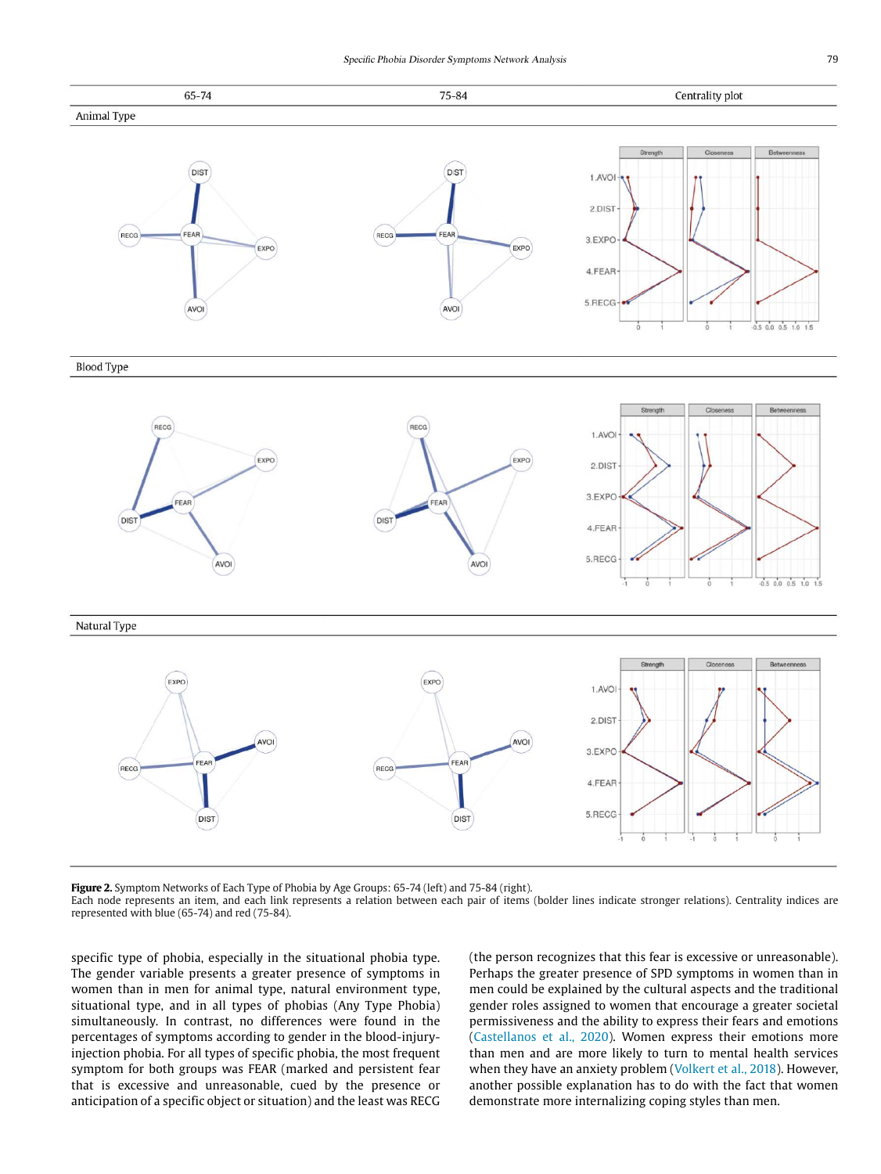

**Figure 2.** Symptom Networks of Each Type of Phobia by Age Groups: 65-74 (left) and 75-84 (right).

Each node represents an item, and each link represents a relation between each pair of items (bolder lines indicate stronger relations). Centrality indices are represented with blue (65-74) and red (75-84).

specific type of phobia, especially in the situational phobia type. The gender variable presents a greater presence of symptoms in women than in men for animal type, natural environment type, situational type, and in all types of phobias (Any Type Phobia) simultaneously. In contrast, no differences were found in the percentages of symptoms according to gender in the blood-injuryinjection phobia. For all types of specific phobia, the most frequent symptom for both groups was FEAR (marked and persistent fear that is excessive and unreasonable, cued by the presence or anticipation of a specific object or situation) and the least was RECG

(the person recognizes that this fear is excessive or unreasonable). Perhaps the greater presence of SPD symptoms in women than in men could be explained by the cultural aspects and the traditional gender roles assigned to women that encourage a greater societal permissiveness and the ability to express their fears and emotions (Castellanos et al., 2020). Women express their emotions more than men and are more likely to turn to mental health services when they have an anxiety problem (Volkert et al., 2018). However, another possible explanation has to do with the fact that women demonstrate more internalizing coping styles than men.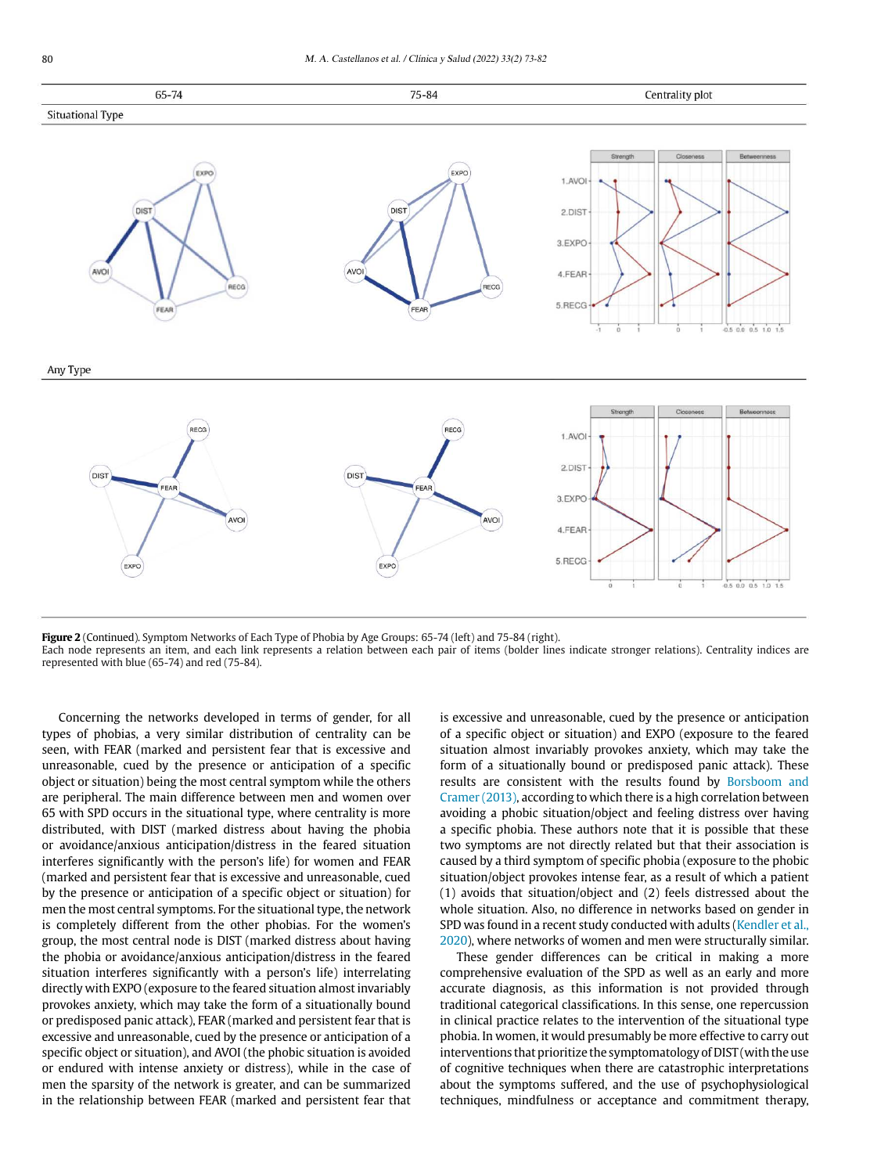

**Figure 2** (Continued). Symptom Networks of Each Type of Phobia by Age Groups: 65-74 (left) and 75-84 (right).

Each node represents an item, and each link represents a relation between each pair of items (bolder lines indicate stronger relations). Centrality indices are represented with blue (65-74) and red (75-84).

Concerning the networks developed in terms of gender, for all types of phobias, a very similar distribution of centrality can be seen, with FEAR (marked and persistent fear that is excessive and unreasonable, cued by the presence or anticipation of a specific object or situation) being the most central symptom while the others are peripheral. The main difference between men and women over 65 with SPD occurs in the situational type, where centrality is more distributed, with DIST (marked distress about having the phobia or avoidance/anxious anticipation/distress in the feared situation interferes significantly with the person's life) for women and FEAR (marked and persistent fear that is excessive and unreasonable, cued by the presence or anticipation of a specific object or situation) for men the most central symptoms. For the situational type, the network is completely different from the other phobias. For the women's group, the most central node is DIST (marked distress about having the phobia or avoidance/anxious anticipation/distress in the feared situation interferes significantly with a person's life) interrelating directly with EXPO (exposure to the feared situation almost invariably provokes anxiety, which may take the form of a situationally bound or predisposed panic attack), FEAR (marked and persistent fear that is excessive and unreasonable, cued by the presence or anticipation of a specific object or situation), and AVOI (the phobic situation is avoided or endured with intense anxiety or distress), while in the case of men the sparsity of the network is greater, and can be summarized in the relationship between FEAR (marked and persistent fear that is excessive and unreasonable, cued by the presence or anticipation of a specific object or situation) and EXPO (exposure to the feared situation almost invariably provokes anxiety, which may take the form of a situationally bound or predisposed panic attack). These results are consistent with the results found by Borsboom and Cramer (2013), according to which there is a high correlation between avoiding a phobic situation/object and feeling distress over having a specific phobia. These authors note that it is possible that these two symptoms are not directly related but that their association is caused by a third symptom of specific phobia (exposure to the phobic situation/object provokes intense fear, as a result of which a patient (1) avoids that situation/object and (2) feels distressed about the whole situation. Also, no difference in networks based on gender in SPD was found in a recent study conducted with adults (Kendler et al., 2020), where networks of women and men were structurally similar.

These gender differences can be critical in making a more comprehensive evaluation of the SPD as well as an early and more accurate diagnosis, as this information is not provided through traditional categorical classifications. In this sense, one repercussion in clinical practice relates to the intervention of the situational type phobia. In women, it would presumably be more effective to carry out interventions that prioritize the symptomatology of DIST (with the use of cognitive techniques when there are catastrophic interpretations about the symptoms suffered, and the use of psychophysiological techniques, mindfulness or acceptance and commitment therapy,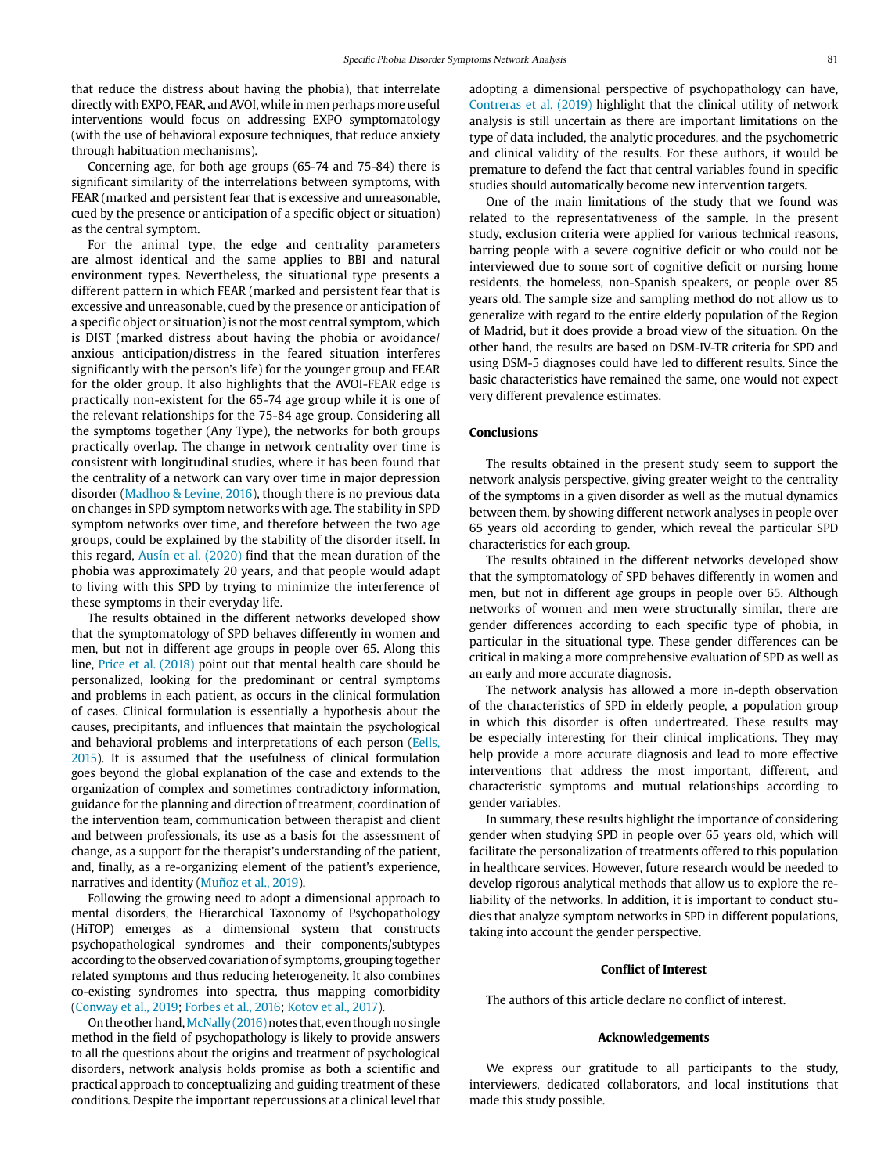that reduce the distress about having the phobia), that interrelate directly with EXPO, FEAR, and AVOI, while in men perhaps more useful interventions would focus on addressing EXPO symptomatology (with the use of behavioral exposure techniques, that reduce anxiety through habituation mechanisms).

Concerning age, for both age groups (65-74 and 75-84) there is significant similarity of the interrelations between symptoms, with FEAR (marked and persistent fear that is excessive and unreasonable, cued by the presence or anticipation of a specific object or situation) as the central symptom.

For the animal type, the edge and centrality parameters are almost identical and the same applies to BBI and natural environment types. Nevertheless, the situational type presents a different pattern in which FEAR (marked and persistent fear that is excessive and unreasonable, cued by the presence or anticipation of a specific object or situation) is not the most central symptom, which is DIST (marked distress about having the phobia or avoidance/ anxious anticipation/distress in the feared situation interferes significantly with the person's life) for the younger group and FEAR for the older group. It also highlights that the AVOI-FEAR edge is practically non-existent for the 65-74 age group while it is one of the relevant relationships for the 75-84 age group. Considering all the symptoms together (Any Type), the networks for both groups practically overlap. The change in network centrality over time is consistent with longitudinal studies, where it has been found that the centrality of a network can vary over time in major depression disorder (Madhoo & Levine, 2016), though there is no previous data on changes in SPD symptom networks with age. The stability in SPD symptom networks over time, and therefore between the two age groups, could be explained by the stability of the disorder itself. In this regard, Ausín et al. (2020) find that the mean duration of the phobia was approximately 20 years, and that people would adapt to living with this SPD by trying to minimize the interference of these symptoms in their everyday life.

The results obtained in the different networks developed show that the symptomatology of SPD behaves differently in women and men, but not in different age groups in people over 65. Along this line, Price et al. (2018) point out that mental health care should be personalized, looking for the predominant or central symptoms and problems in each patient, as occurs in the clinical formulation of cases. Clinical formulation is essentially a hypothesis about the causes, precipitants, and influences that maintain the psychological and behavioral problems and interpretations of each person (Eells, 2015). It is assumed that the usefulness of clinical formulation goes beyond the global explanation of the case and extends to the organization of complex and sometimes contradictory information, guidance for the planning and direction of treatment, coordination of the intervention team, communication between therapist and client and between professionals, its use as a basis for the assessment of change, as a support for the therapist's understanding of the patient, and, finally, as a re-organizing element of the patient's experience, narratives and identity (Muñoz et al., 2019).

Following the growing need to adopt a dimensional approach to mental disorders, the Hierarchical Taxonomy of Psychopathology (HiTOP) emerges as a dimensional system that constructs psychopathological syndromes and their components/subtypes according to the observed covariation of symptoms, grouping together related symptoms and thus reducing heterogeneity. It also combines co-existing syndromes into spectra, thus mapping comorbidity (Conway et al., 2019; Forbes et al., 2016; Kotov et al., 2017).

On the other hand, McNally (2016) notes that, even though no single method in the field of psychopathology is likely to provide answers to all the questions about the origins and treatment of psychological disorders, network analysis holds promise as both a scientific and practical approach to conceptualizing and guiding treatment of these conditions. Despite the important repercussions at a clinical level that adopting a dimensional perspective of psychopathology can have, Contreras et al. (2019) highlight that the clinical utility of network analysis is still uncertain as there are important limitations on the type of data included, the analytic procedures, and the psychometric and clinical validity of the results. For these authors, it would be premature to defend the fact that central variables found in specific studies should automatically become new intervention targets.

One of the main limitations of the study that we found was related to the representativeness of the sample. In the present study, exclusion criteria were applied for various technical reasons, barring people with a severe cognitive deficit or who could not be interviewed due to some sort of cognitive deficit or nursing home residents, the homeless, non-Spanish speakers, or people over 85 years old. The sample size and sampling method do not allow us to generalize with regard to the entire elderly population of the Region of Madrid, but it does provide a broad view of the situation. On the other hand, the results are based on DSM-IV-TR criteria for SPD and using DSM-5 diagnoses could have led to different results. Since the basic characteristics have remained the same, one would not expect very different prevalence estimates.

### **Conclusions**

The results obtained in the present study seem to support the network analysis perspective, giving greater weight to the centrality of the symptoms in a given disorder as well as the mutual dynamics between them, by showing different network analyses in people over 65 years old according to gender, which reveal the particular SPD characteristics for each group.

The results obtained in the different networks developed show that the symptomatology of SPD behaves differently in women and men, but not in different age groups in people over 65. Although networks of women and men were structurally similar, there are gender differences according to each specific type of phobia, in particular in the situational type. These gender differences can be critical in making a more comprehensive evaluation of SPD as well as an early and more accurate diagnosis.

The network analysis has allowed a more in-depth observation of the characteristics of SPD in elderly people, a population group in which this disorder is often undertreated. These results may be especially interesting for their clinical implications. They may help provide a more accurate diagnosis and lead to more effective interventions that address the most important, different, and characteristic symptoms and mutual relationships according to gender variables.

In summary, these results highlight the importance of considering gender when studying SPD in people over 65 years old, which will facilitate the personalization of treatments offered to this population in healthcare services. However, future research would be needed to develop rigorous analytical methods that allow us to explore the reliability of the networks. In addition, it is important to conduct studies that analyze symptom networks in SPD in different populations, taking into account the gender perspective.

#### **Conflict of Interest**

The authors of this article declare no conflict of interest.

#### **Acknowledgements**

We express our gratitude to all participants to the study, interviewers, dedicated collaborators, and local institutions that made this study possible.